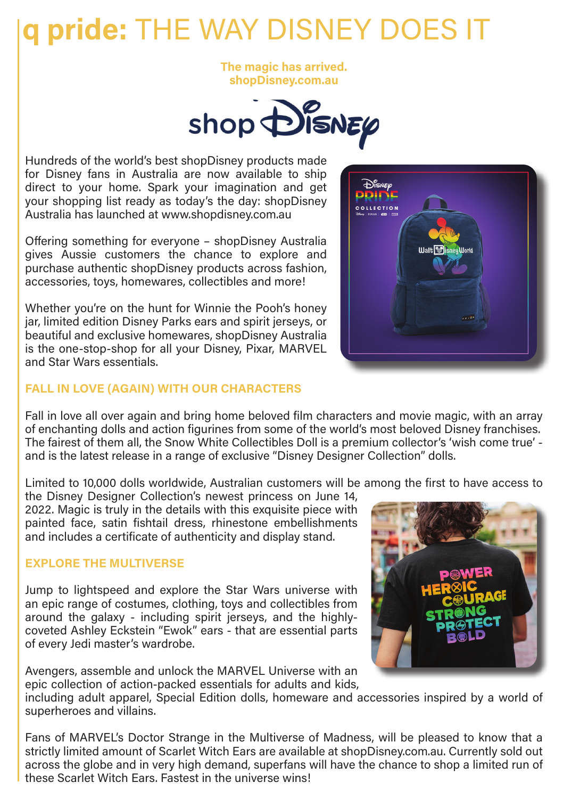# **q pride:** THE WAY DISNEY DOES IT

**The magic has arrived. shopDisney.com.au** 



Hundreds of the world's best shopDisney products made for Disney fans in Australia are now available to ship direct to your home. Spark your imagination and get your shopping list ready as today's the day: shopDisney Australia has launched at www.shopdisney.com.au

Offering something for everyone – shopDisney Australia gives Aussie customers the chance to explore and purchase authentic shopDisney products across fashion, accessories, toys, homewares, collectibles and more!

Whether you're on the hunt for Winnie the Pooh's honey jar, limited edition Disney Parks ears and spirit jerseys, or beautiful and exclusive homewares, shopDisney Australia is the one-stop-shop for all your Disney, Pixar, MARVEL and Star Wars essentials.



## **FALL IN LOVE (AGAIN) WITH OUR CHARACTERS**

Fall in love all over again and bring home beloved film characters and movie magic, with an array of enchanting dolls and action figurines from some of the world's most beloved Disney franchises. The fairest of them all, the Snow White Collectibles Doll is a premium collector's 'wish come true' and is the latest release in a range of exclusive "Disney Designer Collection" dolls.

Limited to 10,000 dolls worldwide, Australian customers will be among the first to have access to

the Disney Designer Collection's newest princess on June 14, 2022. Magic is truly in the details with this exquisite piece with painted face, satin fishtail dress, rhinestone embellishments and includes a certificate of authenticity and display stand.

#### **EXPLORE THE MULTIVERSE**

Jump to lightspeed and explore the Star Wars universe with an epic range of costumes, clothing, toys and collectibles from around the galaxy - including spirit jerseys, and the highlycoveted Ashley Eckstein "Ewok" ears - that are essential parts of every Jedi master's wardrobe.

Avengers, assemble and unlock the MARVEL Universe with an epic collection of action-packed essentials for adults and kids,



including adult apparel, Special Edition dolls, homeware and accessories inspired by a world of superheroes and villains.

Fans of MARVEL's Doctor Strange in the Multiverse of Madness, will be pleased to know that a strictly limited amount of Scarlet Witch Ears are available at shopDisney.com.au. Currently sold out across the globe and in very high demand, superfans will have the chance to shop a limited run of these Scarlet Witch Ears. Fastest in the universe wins!